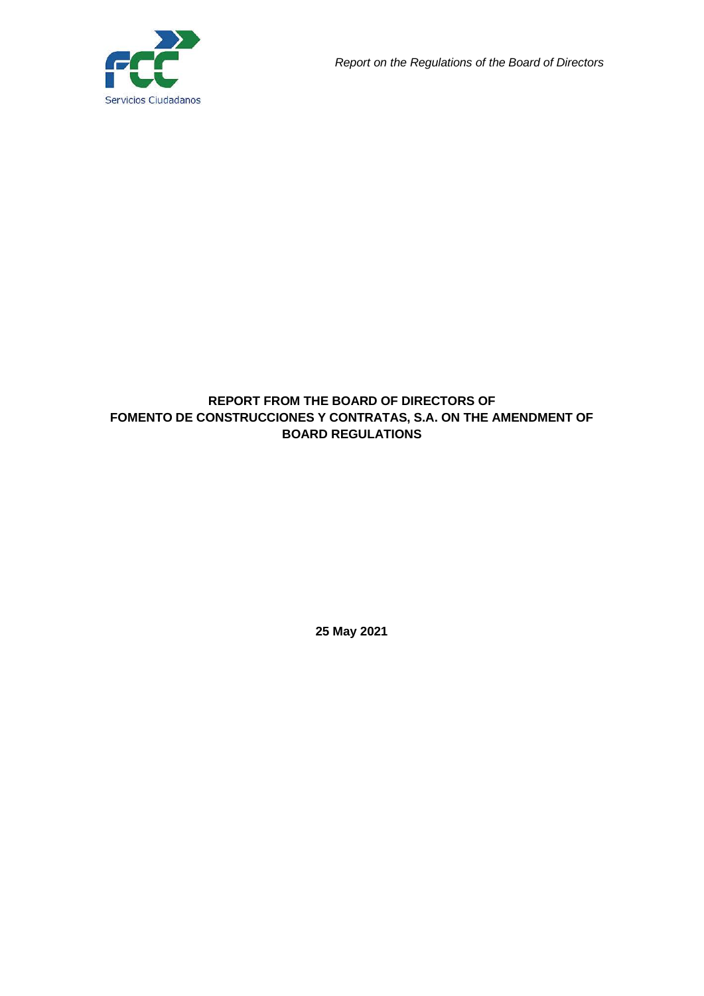

## **REPORT FROM THE BOARD OF DIRECTORS OF FOMENTO DE CONSTRUCCIONES Y CONTRATAS, S.A. ON THE AMENDMENT OF BOARD REGULATIONS**

**25 May 2021**